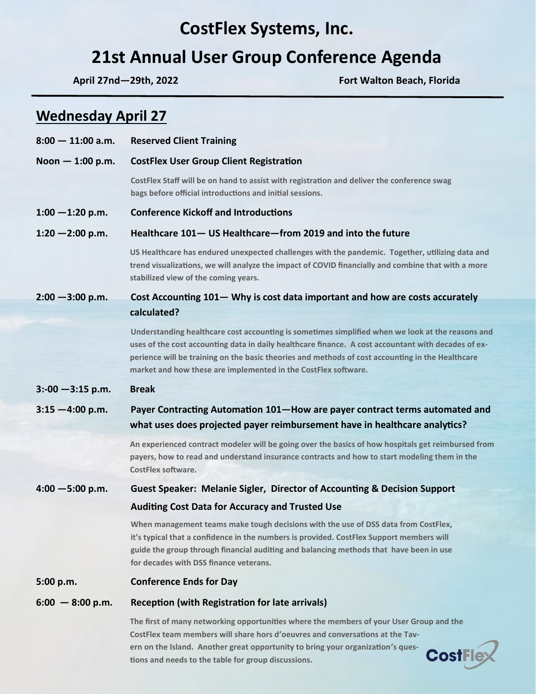# **CostFlex Systems, Inc.**

# **21st Annual User Group Conference Agenda**

**Wednesday April 27** 

**April 27nd—29th, 2022 Fort Walton Beach, Florida**

**CostFlex** 

| $8:00 - 11:00$ a.m.  | <b>Reserved Client Training</b>                                                                                                                                                                                                                                                                                                                                               |
|----------------------|-------------------------------------------------------------------------------------------------------------------------------------------------------------------------------------------------------------------------------------------------------------------------------------------------------------------------------------------------------------------------------|
| Noon $-1:00$ p.m.    | <b>CostFlex User Group Client Registration</b>                                                                                                                                                                                                                                                                                                                                |
|                      | CostFlex Staff will be on hand to assist with registration and deliver the conference swag<br>bags before official introductions and initial sessions.                                                                                                                                                                                                                        |
| $1:00 - 1:20$ p.m.   | <b>Conference Kickoff and Introductions</b>                                                                                                                                                                                                                                                                                                                                   |
| $1:20 - 2:00$ p.m.   | Healthcare 101- US Healthcare-from 2019 and into the future                                                                                                                                                                                                                                                                                                                   |
|                      | US Healthcare has endured unexpected challenges with the pandemic. Together, utilizing data and<br>trend visualizations, we will analyze the impact of COVID financially and combine that with a more<br>stabilized view of the coming years.                                                                                                                                 |
| $2:00 - 3:00$ p.m.   | Cost Accounting 101 – Why is cost data important and how are costs accurately                                                                                                                                                                                                                                                                                                 |
|                      | calculated?                                                                                                                                                                                                                                                                                                                                                                   |
|                      | Understanding healthcare cost accounting is sometimes simplified when we look at the reasons and<br>uses of the cost accounting data in daily healthcare finance. A cost accountant with decades of ex-<br>perience will be training on the basic theories and methods of cost accounting in the Healthcare<br>market and how these are implemented in the CostFlex software. |
| $3: -00 - 3:15$ p.m. | <b>Break</b>                                                                                                                                                                                                                                                                                                                                                                  |
| $3:15 - 4:00$ p.m.   | Payer Contracting Automation 101-How are payer contract terms automated and                                                                                                                                                                                                                                                                                                   |
|                      | what uses does projected payer reimbursement have in healthcare analytics?                                                                                                                                                                                                                                                                                                    |
|                      | An experienced contract modeler will be going over the basics of how hospitals get reimbursed from<br>payers, how to read and understand insurance contracts and how to start modeling them in the<br><b>CostFlex software.</b>                                                                                                                                               |
| $4:00 - 5:00$ p.m.   | <b>Guest Speaker: Melanie Sigler, Director of Accounting &amp; Decision Support</b>                                                                                                                                                                                                                                                                                           |
|                      | <b>Auditing Cost Data for Accuracy and Trusted Use</b>                                                                                                                                                                                                                                                                                                                        |
|                      | When management teams make tough decisions with the use of DSS data from CostFlex,<br>it's typical that a confidence in the numbers is provided. CostFlex Support members will<br>guide the group through financial auditing and balancing methods that have been in use<br>for decades with DSS finance veterans.                                                            |
| 5:00 p.m.            | <b>Conference Ends for Day</b>                                                                                                                                                                                                                                                                                                                                                |
| $6:00 - 8:00$ p.m.   | Reception (with Registration for late arrivals)                                                                                                                                                                                                                                                                                                                               |
|                      | The first of many networking opportunities where the members of your User Group and the<br>CostFlex team members will share hors d'oeuvres and conversations at the Tay-<br>ern on the Island. Another great opportunity to bring your organization's ques-                                                                                                                   |

**tions and needs to the table for group discussions.**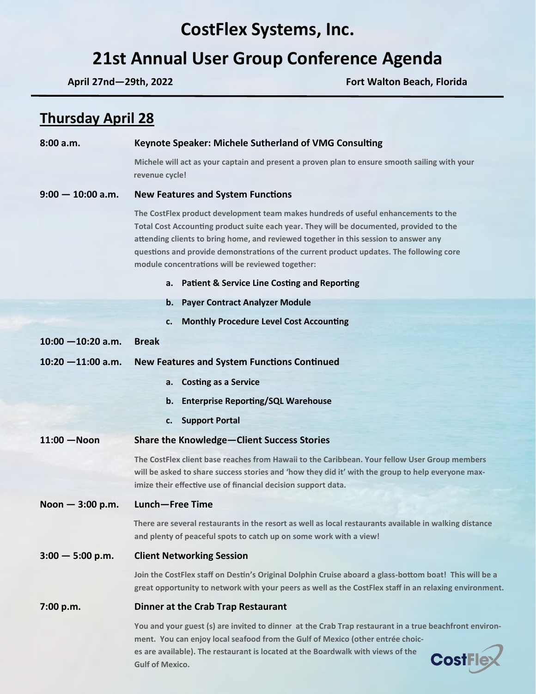# **CostFlex Systems, Inc.**

# **21st Annual User Group Conference Agenda**

**April 27nd—29th, 2022 Fort Walton Beach, Florida**

# **Thursday April 28**

| 8:00 a.m.            | <b>Keynote Speaker: Michele Sutherland of VMG Consulting</b>                                                                                                                                                                                                                                                                                                                                                         |
|----------------------|----------------------------------------------------------------------------------------------------------------------------------------------------------------------------------------------------------------------------------------------------------------------------------------------------------------------------------------------------------------------------------------------------------------------|
|                      | Michele will act as your captain and present a proven plan to ensure smooth sailing with your<br>revenue cycle!                                                                                                                                                                                                                                                                                                      |
| $9:00 - 10:00$ a.m.  | <b>New Features and System Functions</b>                                                                                                                                                                                                                                                                                                                                                                             |
|                      | The CostFlex product development team makes hundreds of useful enhancements to the<br>Total Cost Accounting product suite each year. They will be documented, provided to the<br>attending clients to bring home, and reviewed together in this session to answer any<br>questions and provide demonstrations of the current product updates. The following core<br>module concentrations will be reviewed together: |
|                      | a. Patient & Service Line Costing and Reporting                                                                                                                                                                                                                                                                                                                                                                      |
|                      | b. Payer Contract Analyzer Module                                                                                                                                                                                                                                                                                                                                                                                    |
|                      | <b>Monthly Procedure Level Cost Accounting</b><br>c.                                                                                                                                                                                                                                                                                                                                                                 |
| $10:00 - 10:20$ a.m. | <b>Break</b>                                                                                                                                                                                                                                                                                                                                                                                                         |
| $10:20 - 11:00$ a.m. | <b>New Features and System Functions Continued</b>                                                                                                                                                                                                                                                                                                                                                                   |
|                      | a. Costing as a Service                                                                                                                                                                                                                                                                                                                                                                                              |
|                      | b. Enterprise Reporting/SQL Warehouse                                                                                                                                                                                                                                                                                                                                                                                |
|                      | c. Support Portal                                                                                                                                                                                                                                                                                                                                                                                                    |
| $11:00 - N$ oon      | <b>Share the Knowledge-Client Success Stories</b>                                                                                                                                                                                                                                                                                                                                                                    |
|                      | The CostFlex client base reaches from Hawaii to the Caribbean. Your fellow User Group members<br>will be asked to share success stories and 'how they did it' with the group to help everyone max-<br>imize their effective use of financial decision support data.                                                                                                                                                  |
| Noon $-3:00$ p.m.    | Lunch-Free Time                                                                                                                                                                                                                                                                                                                                                                                                      |
|                      | There are several restaurants in the resort as well as local restaurants available in walking distance<br>and plenty of peaceful spots to catch up on some work with a view!                                                                                                                                                                                                                                         |
| $3:00 - 5:00$ p.m.   | <b>Client Networking Session</b>                                                                                                                                                                                                                                                                                                                                                                                     |
|                      | Join the CostFlex staff on Destin's Original Dolphin Cruise aboard a glass-bottom boat! This will be a<br>great opportunity to network with your peers as well as the CostFlex staff in an relaxing environment.                                                                                                                                                                                                     |
| 7:00 p.m.            | Dinner at the Crab Trap Restaurant                                                                                                                                                                                                                                                                                                                                                                                   |
|                      | You and your guest (s) are invited to dinner at the Crab Trap restaurant in a true beachfront environ-<br>ment. You can enjoy local seafood from the Gulf of Mexico (other entrée choic-<br>es are available). The restaurant is located at the Boardwalk with views of the<br><b>CostFle</b><br><b>Gulf of Mexico.</b>                                                                                              |